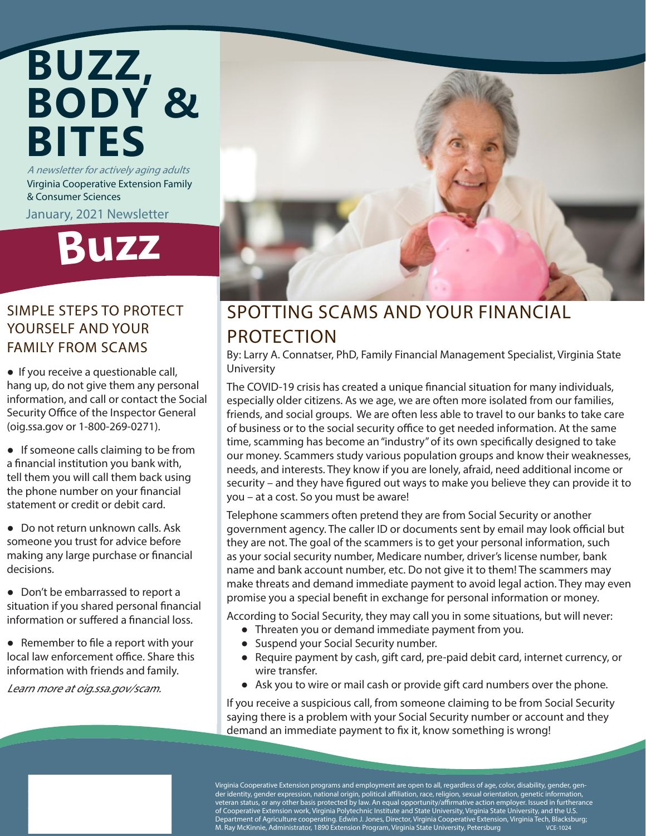## A newsletter for actively aging adults **BUZZ, BODY & BITES**

Virginia Cooperative Extension Family & Consumer Sciences

January, 2021 Newsletter

# **Buz<sup>z</sup>**

#### SIMPLE STEPS TO PROTECT YOURSELF AND YOUR FAMILY FROM SCAMS

● If you receive a questionable call, hang up, do not give them any personal information, and call or contact the Social Security Office of the Inspector General (oig.ssa.gov or 1-800-269-0271).

● If someone calls claiming to be from a financial institution you bank with, tell them you will call them back using the phone number on your financial statement or credit or debit card.

● Do not return unknown calls. Ask someone you trust for advice before making any large purchase or financial decisions.

● Don't be embarrassed to report a situation if you shared personal financial information or suffered a financial loss.

● Remember to file a report with your local law enforcement office. Share this information with friends and family.

Learn more at oig.ssa.gov/scam.



### SPOTTING SCAMS AND YOUR FINANCIAL PROTECTION

By: Larry A. Connatser, PhD, Family Financial Management Specialist, Virginia State University

The COVID-19 crisis has created a unique financial situation for many individuals, especially older citizens. As we age, we are often more isolated from our families, friends, and social groups. We are often less able to travel to our banks to take care of business or to the social security office to get needed information. At the same time, scamming has become an "industry" of its own specifically designed to take our money. Scammers study various population groups and know their weaknesses, needs, and interests. They know if you are lonely, afraid, need additional income or security – and they have figured out ways to make you believe they can provide it to you – at a cost. So you must be aware!

Telephone scammers often pretend they are from Social Security or another government agency. The caller ID or documents sent by email may look official but they are not. The goal of the scammers is to get your personal information, such as your social security number, Medicare number, driver's license number, bank name and bank account number, etc. Do not give it to them! The scammers may make threats and demand immediate payment to avoid legal action. They may even promise you a special benefit in exchange for personal information or money.

According to Social Security, they may call you in some situations, but will never:

- Threaten you or demand immediate payment from you.
- Suspend your Social Security number.
- Require payment by cash, gift card, pre-paid debit card, internet currency, or wire transfer.
- Ask you to wire or mail cash or provide gift card numbers over the phone.

If you receive a suspicious call, from someone claiming to be from Social Security saying there is a problem with your Social Security number or account and they demand an immediate payment to fix it, know something is wrong!

Virginia Cooperative Extension programs and employment are open to all, regardless of age, color, disability, gender, gender identity, gender expression, national origin, political affiliation, race, religion, sexual orientation, genetic information, veteran status, or any other basis protected by law. An equal opportunity/affirmative action employer. Issued in furtherance of Cooperative Extension work, Virginia Polytechnic Institute and State University, Virginia State University, and the U.S. Department of Agriculture cooperating. Edwin J. Jones, Director, Virginia Cooperative Extension, Virginia Tech, Blacksburg; M. Ray McKinnie, Administrator, 1890 Extension Program, Virginia State University, Petersburg VCE-1024